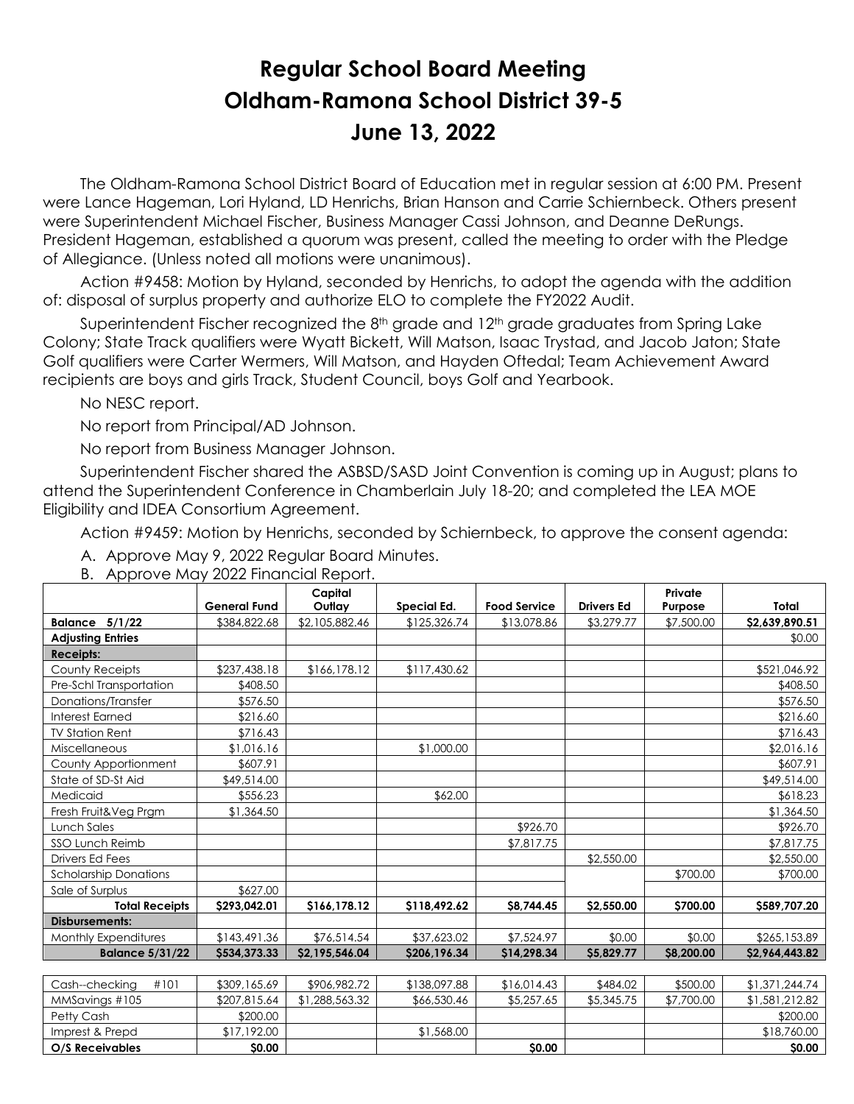## **Regular School Board Meeting Oldham-Ramona School District 39-5 June 13, 2022**

 The Oldham-Ramona School District Board of Education met in regular session at 6:00 PM. Present were Lance Hageman, Lori Hyland, LD Henrichs, Brian Hanson and Carrie Schiernbeck. Others present were Superintendent Michael Fischer, Business Manager Cassi Johnson, and Deanne DeRungs. President Hageman, established a quorum was present, called the meeting to order with the Pledge of Allegiance. (Unless noted all motions were unanimous).

 Action #9458: Motion by Hyland, seconded by Henrichs, to adopt the agenda with the addition of: disposal of surplus property and authorize ELO to complete the FY2022 Audit.

Superintendent Fischer recognized the 8<sup>th</sup> grade and 12<sup>th</sup> grade graduates from Spring Lake Colony; State Track qualifiers were Wyatt Bickett, Will Matson, Isaac Trystad, and Jacob Jaton; State Golf qualifiers were Carter Wermers, Will Matson, and Hayden Oftedal; Team Achievement Award recipients are boys and girls Track, Student Council, boys Golf and Yearbook.

No NESC report.

No report from Principal/AD Johnson.

No report from Business Manager Johnson.

 Superintendent Fischer shared the ASBSD/SASD Joint Convention is coming up in August; plans to attend the Superintendent Conference in Chamberlain July 18-20; and completed the LEA MOE Eligibility and IDEA Consortium Agreement.

Action #9459: Motion by Henrichs, seconded by Schiernbeck, to approve the consent agenda:

- A. Approve May 9, 2022 Regular Board Minutes.
- B. Approve May 2022 Financial Report.

|                              | <b>General Fund</b> | Capital<br>Outlay |              |                     |                   | Private    | Total          |
|------------------------------|---------------------|-------------------|--------------|---------------------|-------------------|------------|----------------|
|                              |                     |                   | Special Ed.  | <b>Food Service</b> | <b>Drivers Ed</b> | Purpose    |                |
| <b>Balance 5/1/22</b>        | \$384,822.68        | \$2,105,882.46    | \$125,326.74 | \$13,078.86         | \$3,279.77        | \$7,500.00 | \$2,639,890.51 |
| <b>Adjusting Entries</b>     |                     |                   |              |                     |                   |            | \$0.00         |
| <b>Receipts:</b>             |                     |                   |              |                     |                   |            |                |
| County Receipts              | \$237,438.18        | \$166,178.12      | \$117,430.62 |                     |                   |            | \$521,046.92   |
| Pre-Schl Transportation      | \$408.50            |                   |              |                     |                   |            | \$408.50       |
| Donations/Transfer           | \$576.50            |                   |              |                     |                   |            | \$576.50       |
| <b>Interest Earned</b>       | \$216.60            |                   |              |                     |                   |            | \$216.60       |
| <b>TV Station Rent</b>       | \$716.43            |                   |              |                     |                   |            | \$716.43       |
| Miscellaneous                | \$1,016.16          |                   | \$1,000.00   |                     |                   |            | \$2,016.16     |
| County Apportionment         | \$607.91            |                   |              |                     |                   |            | \$607.91       |
| State of SD-St Aid           | \$49,514.00         |                   |              |                     |                   |            | \$49,514.00    |
| Medicaid                     | \$556.23            |                   | \$62.00      |                     |                   |            | \$618.23       |
| Fresh Fruit&Veg Prgm         | \$1,364.50          |                   |              |                     |                   |            | \$1,364.50     |
| Lunch Sales                  |                     |                   |              | \$926.70            |                   |            | \$926.70       |
| SSO Lunch Reimb              |                     |                   |              | \$7,817.75          |                   |            | \$7,817.75     |
| Drivers Ed Fees              |                     |                   |              |                     | \$2,550.00        |            | \$2,550.00     |
| <b>Scholarship Donations</b> |                     |                   |              |                     |                   | \$700.00   | \$700.00       |
| Sale of Surplus              | \$627.00            |                   |              |                     |                   |            |                |
| <b>Total Receipts</b>        | \$293,042.01        | \$166,178.12      | \$118,492.62 | S8.744.45           | \$2,550.00        | \$700.00   | \$589,707.20   |
| <b>Disbursements:</b>        |                     |                   |              |                     |                   |            |                |
| Monthly Expenditures         | \$143,491.36        | \$76,514.54       | \$37,623.02  | \$7,524.97          | \$0.00            | \$0.00     | \$265,153.89   |
| <b>Balance 5/31/22</b>       | \$534,373.33        | \$2.195.546.04    | \$206,196.34 | \$14,298.34         | \$5,829.77        | \$8,200.00 | \$2,964,443.82 |
|                              |                     |                   |              |                     |                   |            |                |
| Cash--checking<br>#101       | \$309,165.69        | \$906,982.72      | \$138,097.88 | \$16,014.43         | \$484.02          | \$500.00   | \$1,371,244.74 |
| MMSavings #105               | \$207,815.64        | \$1,288,563.32    | \$66,530.46  | \$5,257.65          | \$5,345.75        | \$7,700.00 | \$1,581,212.82 |
| Petty Cash                   | \$200.00            |                   |              |                     |                   |            | \$200.00       |
| Imprest & Prepd              | \$17,192.00         |                   | \$1,568.00   |                     |                   |            | \$18,760.00    |
| O/S Receivables              | <b>SO.00</b>        |                   |              | <b>SO.00</b>        |                   |            | <b>SO.00</b>   |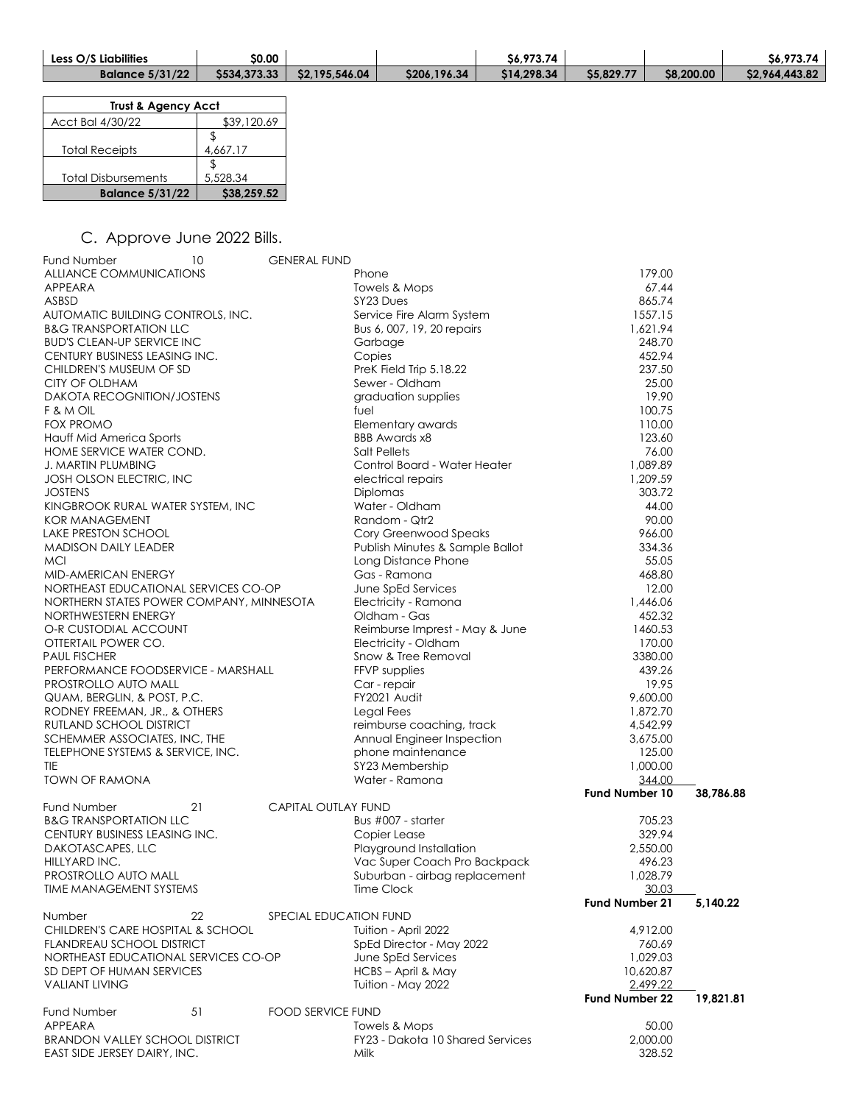| <b>Less O/S Liabilities</b> | \$0.00 |                                 |              | S6.973.74   |           |            | S6.973.74      |
|-----------------------------|--------|---------------------------------|--------------|-------------|-----------|------------|----------------|
| <b>Balance 5/31/22</b>      |        | $$534,373.33$   $$2,195,546.04$ | \$206,196.34 | \$14,298.34 | S5.829.77 | \$8,200.00 | \$2,964,443.82 |

| <b>Trust &amp; Agency Acct</b> |             |  |  |  |
|--------------------------------|-------------|--|--|--|
| Acct Bal 4/30/22               | \$39,120.69 |  |  |  |
| <b>Total Receipts</b>          | 4,667.17    |  |  |  |
| <b>Total Disbursements</b>     | 5,528.34    |  |  |  |
| <b>Balance 5/31/22</b>         | \$38,259.52 |  |  |  |

## C. Approve June 2022 Bills.

| Fund Number<br>10<br>ALLIANCE COMMUNICATIONS | <b>GENERAL FUND</b>        | Phone                            | 179.00                |           |
|----------------------------------------------|----------------------------|----------------------------------|-----------------------|-----------|
| APPEARA                                      |                            | Towels & Mops                    | 67.44                 |           |
| ASBSD                                        |                            | SY23 Dues                        | 865.74                |           |
| AUTOMATIC BUILDING CONTROLS, INC.            |                            | Service Fire Alarm System        | 1557.15               |           |
| <b>B&amp;G TRANSPORTATION LLC</b>            |                            | Bus 6, 007, 19, 20 repairs       | 1,621.94              |           |
| <b>BUD'S CLEAN-UP SERVICE INC</b>            |                            | Garbage                          | 248.70                |           |
| CENTURY BUSINESS LEASING INC.                |                            | Copies                           | 452.94                |           |
| CHILDREN'S MUSEUM OF SD                      |                            | PreK Field Trip 5.18.22          | 237.50                |           |
| CITY OF OLDHAM                               |                            | Sewer - Oldham                   | 25.00                 |           |
| <b>DAKOTA RECOGNITION/JOSTENS</b>            |                            | graduation supplies              | 19.90                 |           |
| F & M OIL                                    |                            | fuel                             | 100.75                |           |
| <b>FOX PROMO</b>                             |                            | Elementary awards                | 110.00                |           |
| Hauff Mid America Sports                     |                            | <b>BBB Awards x8</b>             | 123.60                |           |
| HOME SERVICE WATER COND.                     |                            | Salt Pellets                     | 76.00                 |           |
| <b>J. MARTIN PLUMBING</b>                    |                            | Control Board - Water Heater     | 1,089.89              |           |
| JOSH OLSON ELECTRIC, INC                     |                            | electrical repairs               | 1,209.59              |           |
| <b>JOSTENS</b>                               |                            | Diplomas                         | 303.72                |           |
| KINGBROOK RURAL WATER SYSTEM, INC            |                            | Water - Oldham                   | 44.00                 |           |
| <b>KOR MANAGEMENT</b>                        |                            | Random - Qtr2                    | 90.00                 |           |
| LAKE PRESTON SCHOOL                          |                            | Cory Greenwood Speaks            | 966.00                |           |
| MADISON DAILY LEADER                         |                            | Publish Minutes & Sample Ballot  | 334.36                |           |
| <b>MCI</b>                                   |                            | Long Distance Phone              | 55.05                 |           |
| MID-AMERICAN ENERGY                          |                            | Gas - Ramona                     | 468.80                |           |
| NORTHEAST EDUCATIONAL SERVICES CO-OP         |                            | June SpEd Services               | 12.00                 |           |
| NORTHERN STATES POWER COMPANY, MINNESOTA     |                            | Electricity - Ramona             | 1,446.06              |           |
| NORTHWESTERN ENERGY                          |                            | Oldham - Gas                     | 452.32                |           |
| O-R CUSTODIAL ACCOUNT                        |                            | Reimburse Imprest - May & June   | 1460.53               |           |
| OTTERTAIL POWER CO.                          |                            | Electricity - Oldham             | 170.00                |           |
| <b>PAUL FISCHER</b>                          |                            | Snow & Tree Removal              | 3380.00               |           |
| PERFORMANCE FOODSERVICE - MARSHALL           |                            | FFVP supplies                    | 439.26                |           |
| PROSTROLLO AUTO MALL                         |                            | Car - repair                     | 19.95                 |           |
| QUAM, BERGLIN, & POST, P.C.                  |                            | FY2021 Audit                     | 9,600.00              |           |
| RODNEY FREEMAN, JR., & OTHERS                |                            | Legal Fees                       | 1,872.70              |           |
| RUTLAND SCHOOL DISTRICT                      |                            | reimburse coaching, track        | 4,542.99              |           |
| SCHEMMER ASSOCIATES, INC, THE                |                            | Annual Engineer Inspection       | 3,675.00              |           |
| TELEPHONE SYSTEMS & SERVICE, INC.            |                            | phone maintenance                | 125.00                |           |
| TIE                                          |                            | SY23 Membership                  | 1,000.00              |           |
| <b>TOWN OF RAMONA</b>                        |                            | Water - Ramona                   | 344.00                |           |
|                                              |                            |                                  | <b>Fund Number 10</b> | 38,786.88 |
| 21<br>Fund Number                            | <b>CAPITAL OUTLAY FUND</b> |                                  |                       |           |
| <b>B&amp;G TRANSPORTATION LLC</b>            |                            | Bus #007 - starter               | 705.23                |           |
| CENTURY BUSINESS LEASING INC.                |                            | Copier Lease                     | 329.94                |           |
| DAKOTASCAPES, LLC                            |                            | Playground Installation          | 2,550.00              |           |
| HILLYARD INC.                                |                            | Vac Super Coach Pro Backpack     | 496.23                |           |
| PROSTROLLO AUTO MALL                         |                            | Suburban - airbag replacement    | 1,028.79              |           |
| TIME MANAGEMENT SYSTEMS                      |                            | Time Clock                       | 30.03                 |           |
|                                              |                            |                                  | Fund Number 21        | 5,140.22  |
| 22<br>Number                                 | SPECIAL EDUCATION FUND     |                                  |                       |           |
| CHILDREN'S CARE HOSPITAL & SCHOOL            |                            | Tuition - April 2022             | 4,912.00              |           |
| <b>FLANDREAU SCHOOL DISTRICT</b>             |                            | SpEd Director - May 2022         | 760.69                |           |
| NORTHEAST EDUCATIONAL SERVICES CO-OP         |                            | June SpEd Services               | 1,029.03              |           |
| SD DEPT OF HUMAN SERVICES                    |                            | HCBS - April & May               | 10,620.87             |           |
| <b>VALIANT LIVING</b>                        |                            | Tuition - May 2022               | 2,499.22              |           |
|                                              |                            |                                  | <b>Fund Number 22</b> | 19,821.81 |
| <b>Fund Number</b><br>51                     | <b>FOOD SERVICE FUND</b>   |                                  |                       |           |
| APPEARA                                      |                            | Towels & Mops                    | 50.00                 |           |
| <b>BRANDON VALLEY SCHOOL DISTRICT</b>        |                            | FY23 - Dakota 10 Shared Services | 2,000.00              |           |
| EAST SIDE JERSEY DAIRY, INC.                 |                            | Milk                             | 328.52                |           |
|                                              |                            |                                  |                       |           |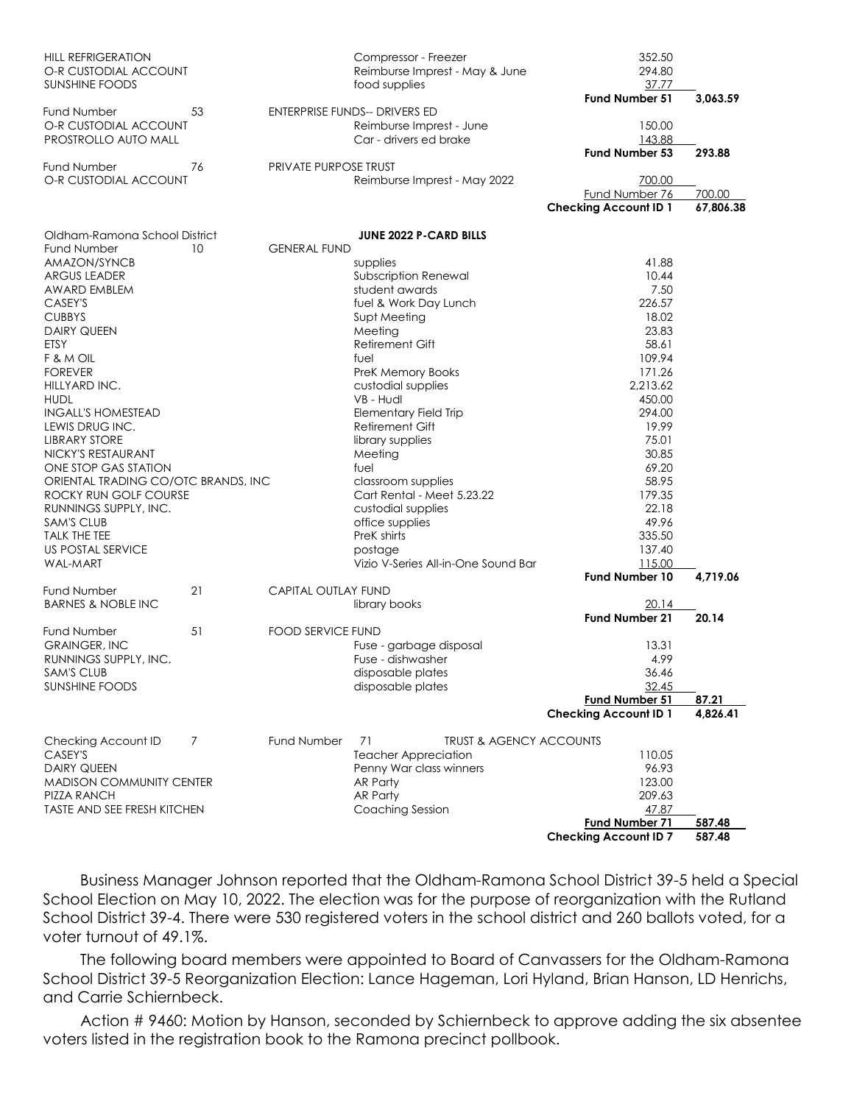| <b>HILL REFRIGERATION</b><br>O-R CUSTODIAL ACCOUNT<br><b>SUNSHINE FOODS</b> |    |                              | Compressor - Freezer<br>Reimburse Imprest - May & June<br>food supplies | 352.50<br>294.80<br>37.77<br><b>Fund Number 51</b> | 3,063.59  |
|-----------------------------------------------------------------------------|----|------------------------------|-------------------------------------------------------------------------|----------------------------------------------------|-----------|
| Fund Number                                                                 | 53 |                              | <b>ENTERPRISE FUNDS-- DRIVERS ED</b>                                    |                                                    |           |
| O-R CUSTODIAL ACCOUNT                                                       |    | Reimburse Imprest - June     |                                                                         | 150.00                                             |           |
| PROSTROLLO AUTO MALL                                                        |    |                              | Car - drivers ed brake                                                  | 143.88<br>Fund Number 53                           | 293.88    |
| Fund Number                                                                 | 76 | <b>PRIVATE PURPOSE TRUST</b> |                                                                         |                                                    |           |
| O-R CUSTODIAL ACCOUNT                                                       |    | Reimburse Imprest - May 2022 |                                                                         | 700.00                                             |           |
|                                                                             |    |                              |                                                                         | Fund Number 76                                     | 700.00    |
|                                                                             |    |                              |                                                                         | <b>Checking Account ID 1</b>                       | 67,806.38 |
| Oldham-Ramona School District                                               |    |                              | <b>JUNE 2022 P-CARD BILLS</b>                                           |                                                    |           |
| Fund Number                                                                 | 10 | <b>GENERAL FUND</b>          |                                                                         |                                                    |           |
| AMAZON/SYNCB                                                                |    |                              | supplies                                                                | 41.88                                              |           |
| <b>ARGUS LEADER</b>                                                         |    |                              | Subscription Renewal                                                    | 10.44                                              |           |
| AWARD EMBLEM                                                                |    |                              | student awards                                                          | 7.50                                               |           |
| CASEY'S                                                                     |    |                              | fuel & Work Day Lunch                                                   | 226.57                                             |           |
| <b>CUBBYS</b>                                                               |    |                              | Supt Meeting                                                            | 18.02                                              |           |
| <b>DAIRY QUEEN</b>                                                          |    |                              | Meeting                                                                 | 23.83                                              |           |
| ETSY                                                                        |    |                              | Retirement Gift                                                         | 58.61                                              |           |
| F & M OIL                                                                   |    |                              | fuel                                                                    | 109.94                                             |           |
| <b>FOREVER</b>                                                              |    |                              | <b>PreK Memory Books</b>                                                | 171.26                                             |           |
| HILLYARD INC.                                                               |    |                              | custodial supplies                                                      | 2,213.62                                           |           |
| <b>HUDL</b>                                                                 |    |                              | VB - Hudl                                                               | 450.00                                             |           |
| <b>INGALL'S HOMESTEAD</b>                                                   |    |                              | <b>Elementary Field Trip</b>                                            | 294.00                                             |           |
| LEWIS DRUG INC.                                                             |    |                              | Retirement Gift                                                         | 19.99                                              |           |
| <b>LIBRARY STORE</b>                                                        |    |                              | library supplies                                                        | 75.01                                              |           |
| NICKY'S RESTAURANT                                                          |    |                              | Meeting                                                                 | 30.85                                              |           |
| ONE STOP GAS STATION                                                        |    |                              | fuel                                                                    | 69.20                                              |           |
| ORIENTAL TRADING CO/OTC BRANDS, INC                                         |    |                              | classroom supplies                                                      | 58.95                                              |           |
| ROCKY RUN GOLF COURSE                                                       |    |                              | Cart Rental - Meet 5.23.22                                              | 179.35                                             |           |
| RUNNINGS SUPPLY, INC.                                                       |    |                              | custodial supplies                                                      | 22.18                                              |           |
| <b>SAM'S CLUB</b>                                                           |    |                              | office supplies                                                         | 49.96                                              |           |
| <b>TALK THE TEE</b>                                                         |    |                              | PreK shirts                                                             | 335.50                                             |           |
| <b>US POSTAL SERVICE</b>                                                    |    |                              | postage                                                                 | 137.40                                             |           |
| <b>WAL-MART</b>                                                             |    |                              | Vizio V-Series All-in-One Sound Bar                                     | 115.00                                             |           |
|                                                                             |    |                              |                                                                         | Fund Number 10                                     | 4,719.06  |
| Fund Number                                                                 | 21 | <b>CAPITAL OUTLAY FUND</b>   |                                                                         |                                                    |           |
| <b>BARNES &amp; NOBLE INC</b>                                               |    |                              | library books                                                           | 20.14                                              |           |
|                                                                             |    |                              |                                                                         | Fund Number 21                                     | 20.14     |
| <b>Fund Number</b>                                                          | 51 | <b>FOOD SERVICE FUND</b>     |                                                                         |                                                    |           |
| <b>GRAINGER, INC</b>                                                        |    |                              | Fuse - garbage disposal                                                 | 13.31                                              |           |
| RUNNINGS SUPPLY, INC.                                                       |    |                              | Fuse - dishwasher                                                       | 4.99                                               |           |
| <b>SAM'S CLUB</b>                                                           |    |                              | disposable plates                                                       | 36.46                                              |           |
| <b>SUNSHINE FOODS</b>                                                       |    |                              | disposable plates                                                       | 32.45                                              |           |
|                                                                             |    |                              |                                                                         | Fund Number 51                                     | 87.21     |
|                                                                             |    |                              |                                                                         | <b>Checking Account ID 1</b>                       | 4,826.41  |
| Checking Account ID                                                         | 7  | <b>Fund Number</b>           | <b>TRUST &amp; AGENCY ACCOUNTS</b><br>71                                |                                                    |           |
| CASEY'S                                                                     |    |                              | <b>Teacher Appreciation</b>                                             | 110.05                                             |           |
| <b>DAIRY QUEEN</b>                                                          |    |                              |                                                                         | 96.93                                              |           |
| <b>MADISON COMMUNITY CENTER</b>                                             |    |                              | Penny War class winners<br>AR Party                                     | 123.00                                             |           |
| <b>PIZZA RANCH</b>                                                          |    |                              | AR Party                                                                | 209.63                                             |           |
| <b>TASTE AND SEE FRESH KITCHEN</b>                                          |    |                              | Coaching Session                                                        | 47.87                                              |           |
|                                                                             |    |                              |                                                                         | <b>Fund Number 71</b>                              | 587.48    |
|                                                                             |    |                              |                                                                         | <b>Checking Account ID 7</b>                       | 587.48    |
|                                                                             |    |                              |                                                                         |                                                    |           |

 Business Manager Johnson reported that the Oldham-Ramona School District 39-5 held a Special School Election on May 10, 2022. The election was for the purpose of reorganization with the Rutland School District 39-4. There were 530 registered voters in the school district and 260 ballots voted, for a voter turnout of 49.1%.

 The following board members were appointed to Board of Canvassers for the Oldham-Ramona School District 39-5 Reorganization Election: Lance Hageman, Lori Hyland, Brian Hanson, LD Henrichs, and Carrie Schiernbeck.

 Action # 9460: Motion by Hanson, seconded by Schiernbeck to approve adding the six absentee voters listed in the registration book to the Ramona precinct pollbook.